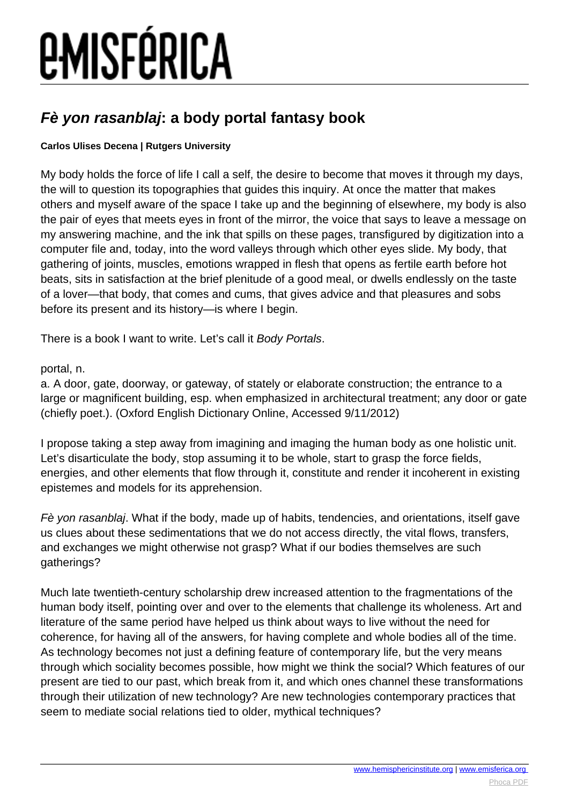# *EMISFÉRICA*

### **Fè yon rasanblaj: a body portal fantasy book**

#### **Carlos Ulises Decena | Rutgers University**

My body holds the force of life I call a self, the desire to become that moves it through my days, the will to question its topographies that guides this inquiry. At once the matter that makes others and myself aware of the space I take up and the beginning of elsewhere, my body is also the pair of eyes that meets eyes in front of the mirror, the voice that says to leave a message on my answering machine, and the ink that spills on these pages, transfigured by digitization into a computer file and, today, into the word valleys through which other eyes slide. My body, that gathering of joints, muscles, emotions wrapped in flesh that opens as fertile earth before hot beats, sits in satisfaction at the brief plenitude of a good meal, or dwells endlessly on the taste of a lover—that body, that comes and cums, that gives advice and that pleasures and sobs before its present and its history—is where I begin.

There is a book I want to write. Let's call it Body Portals.

#### portal, n.

a. A door, gate, doorway, or gateway, of stately or elaborate construction; the entrance to a large or magnificent building, esp. when emphasized in architectural treatment; any door or gate (chiefly poet.). (Oxford English Dictionary Online, Accessed 9/11/2012)

I propose taking a step away from imagining and imaging the human body as one holistic unit. Let's disarticulate the body, stop assuming it to be whole, start to grasp the force fields, energies, and other elements that flow through it, constitute and render it incoherent in existing epistemes and models for its apprehension.

Fè yon rasanblaj. What if the body, made up of habits, tendencies, and orientations, itself gave us clues about these sedimentations that we do not access directly, the vital flows, transfers, and exchanges we might otherwise not grasp? What if our bodies themselves are such gatherings?

Much late twentieth-century scholarship drew increased attention to the fragmentations of the human body itself, pointing over and over to the elements that challenge its wholeness. Art and literature of the same period have helped us think about ways to live without the need for coherence, for having all of the answers, for having complete and whole bodies all of the time. As technology becomes not just a defining feature of contemporary life, but the very means through which sociality becomes possible, how might we think the social? Which features of our present are tied to our past, which break from it, and which ones channel these transformations through their utilization of new technology? Are new technologies contemporary practices that seem to mediate social relations tied to older, mythical techniques?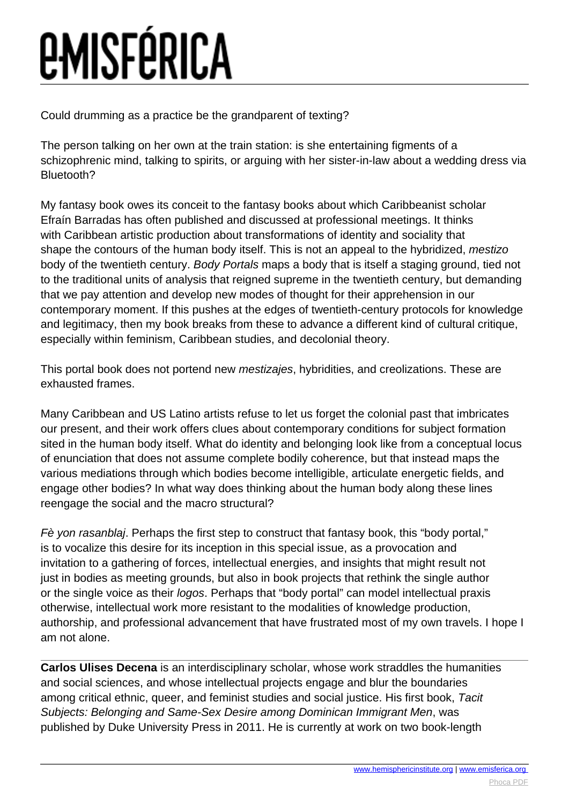# *<u>EMISFÉRICA</u>*

Could drumming as a practice be the grandparent of texting?

The person talking on her own at the train station: is she entertaining figments of a schizophrenic mind, talking to spirits, or arguing with her sister-in-law about a wedding dress via Bluetooth?

My fantasy book owes its conceit to the fantasy books about which Caribbeanist scholar Efraín Barradas has often published and discussed at professional meetings. It thinks with Caribbean artistic production about transformations of identity and sociality that shape the contours of the human body itself. This is not an appeal to the hybridized, mestizo body of the twentieth century. Body Portals maps a body that is itself a staging ground, tied not to the traditional units of analysis that reigned supreme in the twentieth century, but demanding that we pay attention and develop new modes of thought for their apprehension in our contemporary moment. If this pushes at the edges of twentieth-century protocols for knowledge and legitimacy, then my book breaks from these to advance a different kind of cultural critique, especially within feminism, Caribbean studies, and decolonial theory.

This portal book does not portend new mestizajes, hybridities, and creolizations. These are exhausted frames.

Many Caribbean and US Latino artists refuse to let us forget the colonial past that imbricates our present, and their work offers clues about contemporary conditions for subject formation sited in the human body itself. What do identity and belonging look like from a conceptual locus of enunciation that does not assume complete bodily coherence, but that instead maps the various mediations through which bodies become intelligible, articulate energetic fields, and engage other bodies? In what way does thinking about the human body along these lines reengage the social and the macro structural?

Fè von rasanblai. Perhaps the first step to construct that fantasy book, this "body portal." is to vocalize this desire for its inception in this special issue, as a provocation and invitation to a gathering of forces, intellectual energies, and insights that might result not just in bodies as meeting grounds, but also in book projects that rethink the single author or the single voice as their logos. Perhaps that "body portal" can model intellectual praxis otherwise, intellectual work more resistant to the modalities of knowledge production, authorship, and professional advancement that have frustrated most of my own travels. I hope I am not alone.

**Carlos Ulises Decena** is an interdisciplinary scholar, whose work straddles the humanities and social sciences, and whose intellectual projects engage and blur the boundaries among critical ethnic, queer, and feminist studies and social justice. His first book, Tacit Subjects: Belonging and Same-Sex Desire among Dominican Immigrant Men, was published by Duke University Press in 2011. He is currently at work on two book-length